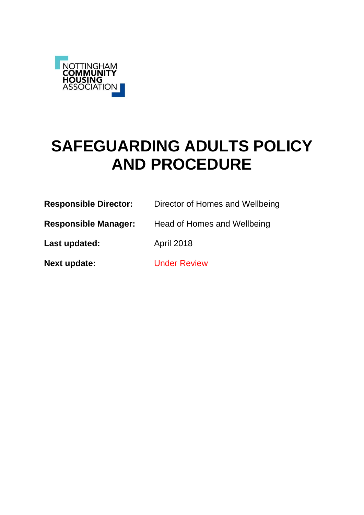

# **SAFEGUARDING ADULTS POLICY AND PROCEDURE**

| <b>Responsible Director:</b> | Director of Homes and Wellbeing |
|------------------------------|---------------------------------|
| <b>Responsible Manager:</b>  | Head of Homes and Wellbeing     |
| Last updated:                | <b>April 2018</b>               |
| <b>Next update:</b>          | <b>Under Review</b>             |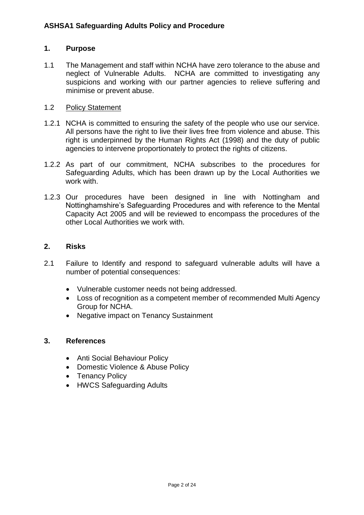### **1. Purpose**

1.1 The Management and staff within NCHA have zero tolerance to the abuse and neglect of Vulnerable Adults. NCHA are committed to investigating any suspicions and working with our partner agencies to relieve suffering and minimise or prevent abuse.

### 1.2 Policy Statement

- 1.2.1 NCHA is committed to ensuring the safety of the people who use our service. All persons have the right to live their lives free from violence and abuse. This right is underpinned by the Human Rights Act (1998) and the duty of public agencies to intervene proportionately to protect the rights of citizens.
- 1.2.2 As part of our commitment, NCHA subscribes to the procedures for Safeguarding Adults, which has been drawn up by the Local Authorities we work with.
- 1.2.3 Our procedures have been designed in line with Nottingham and Nottinghamshire's Safeguarding Procedures and with reference to the Mental Capacity Act 2005 and will be reviewed to encompass the procedures of the other Local Authorities we work with.

### **2. Risks**

- 2.1 Failure to Identify and respond to safeguard vulnerable adults will have a number of potential consequences:
	- Vulnerable customer needs not being addressed.
	- Loss of recognition as a competent member of recommended Multi Agency Group for NCHA.
	- Negative impact on Tenancy Sustainment

#### **3. References**

- Anti Social Behaviour Policy
- Domestic Violence & Abuse Policy
- Tenancy Policy
- HWCS Safeguarding Adults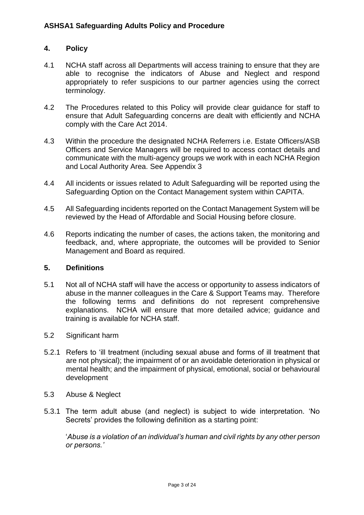### **4. Policy**

- 4.1 NCHA staff across all Departments will access training to ensure that they are able to recognise the indicators of Abuse and Neglect and respond appropriately to refer suspicions to our partner agencies using the correct terminology.
- 4.2 The Procedures related to this Policy will provide clear guidance for staff to ensure that Adult Safeguarding concerns are dealt with efficiently and NCHA comply with the Care Act 2014.
- 4.3 Within the procedure the designated NCHA Referrers i.e. Estate Officers/ASB Officers and Service Managers will be required to access contact details and communicate with the multi-agency groups we work with in each NCHA Region and Local Authority Area. See Appendix 3
- 4.4 All incidents or issues related to Adult Safeguarding will be reported using the Safeguarding Option on the Contact Management system within CAPITA.
- 4.5 All Safeguarding incidents reported on the Contact Management System will be reviewed by the Head of Affordable and Social Housing before closure.
- 4.6 Reports indicating the number of cases, the actions taken, the monitoring and feedback, and, where appropriate, the outcomes will be provided to Senior Management and Board as required.

### **5. Definitions**

- 5.1 Not all of NCHA staff will have the access or opportunity to assess indicators of abuse in the manner colleagues in the Care & Support Teams may. Therefore the following terms and definitions do not represent comprehensive explanations. NCHA will ensure that more detailed advice; guidance and training is available for NCHA staff.
- 5.2 Significant harm
- 5.2.1 Refers to 'ill treatment (including sexual abuse and forms of ill treatment that are not physical); the impairment of or an avoidable deterioration in physical or mental health; and the impairment of physical, emotional, social or behavioural development
- 5.3 Abuse & Neglect
- 5.3.1 The term adult abuse (and neglect) is subject to wide interpretation. 'No Secrets' provides the following definition as a starting point:

'*Abuse is a violation of an individual's human and civil rights by any other person or persons.'*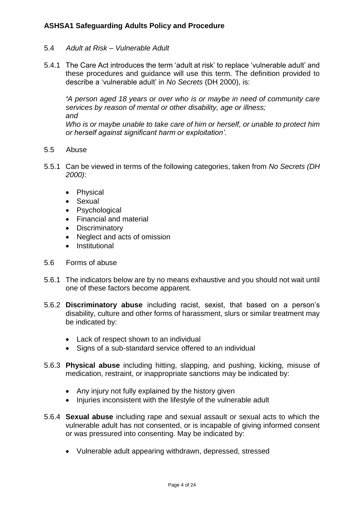### 5.4 *Adult at Risk – Vulnerable Adult*

5.4.1 The Care Act introduces the term 'adult at risk' to replace 'vulnerable adult' and these procedures and guidance will use this term. The definition provided to describe a 'vulnerable adult' in *No Secrets* (DH 2000), is:

*'A person aged 18 years or over who is or maybe in need of community care services by reason of mental or other disability, age or illness; and*

*Who is or maybe unable to take care of him or herself, or unable to protect him or herself against significant harm or exploitation'.*

- 5.5 Abuse
- 5.5.1 Can be viewed in terms of the following categories, taken from *No Secrets (DH 2000)*:
	- Physical
	- Sexual
	- Psychological
	- Financial and material
	- Discriminatory
	- Neglect and acts of omission
	- Institutional
- 5.6 Forms of abuse
- 5.6.1 The indicators below are by no means exhaustive and you should not wait until one of these factors become apparent.
- 5.6.2 **Discriminatory abuse** including racist, sexist, that based on a person's disability, culture and other forms of harassment, slurs or similar treatment may be indicated by:
	- Lack of respect shown to an individual
	- Signs of a sub-standard service offered to an individual
- 5.6.3 **Physical abuse** including hitting, slapping, and pushing, kicking, misuse of medication, restraint, or inappropriate sanctions may be indicated by:
	- Any injury not fully explained by the history given
	- Injuries inconsistent with the lifestyle of the vulnerable adult
- 5.6.4 **Sexual abuse** including rape and sexual assault or sexual acts to which the vulnerable adult has not consented, or is incapable of giving informed consent or was pressured into consenting. May be indicated by:
	- Vulnerable adult appearing withdrawn, depressed, stressed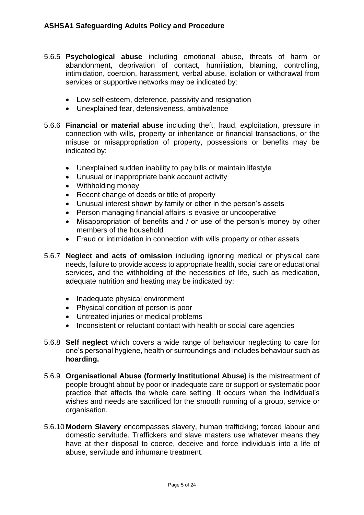- 5.6.5 **Psychological abuse** including emotional abuse, threats of harm or abandonment, deprivation of contact, humiliation, blaming, controlling, intimidation, coercion, harassment, verbal abuse, isolation or withdrawal from services or supportive networks may be indicated by:
	- Low self-esteem, deference, passivity and resignation
	- Unexplained fear, defensiveness, ambivalence
- 5.6.6 **Financial or material abuse** including theft, fraud, exploitation, pressure in connection with wills, property or inheritance or financial transactions, or the misuse or misappropriation of property, possessions or benefits may be indicated by:
	- Unexplained sudden inability to pay bills or maintain lifestyle
	- Unusual or inappropriate bank account activity
	- Withholding money
	- Recent change of deeds or title of property
	- Unusual interest shown by family or other in the person's assets
	- Person managing financial affairs is evasive or uncooperative
	- Misappropriation of benefits and / or use of the person's money by other members of the household
	- Fraud or intimidation in connection with wills property or other assets
- 5.6.7 **Neglect and acts of omission** including ignoring medical or physical care needs, failure to provide access to appropriate health, social care or educational services, and the withholding of the necessities of life, such as medication, adequate nutrition and heating may be indicated by:
	- Inadequate physical environment
	- Physical condition of person is poor
	- Untreated injuries or medical problems
	- Inconsistent or reluctant contact with health or social care agencies
- 5.6.8 **Self neglect** which covers a wide range of behaviour neglecting to care for one's personal hygiene, health or surroundings and includes behaviour such as **hoarding.**
- 5.6.9 **Organisational Abuse (formerly Institutional Abuse)** is the mistreatment of people brought about by poor or inadequate care or support or systematic poor practice that affects the whole care setting. It occurs when the individual's wishes and needs are sacrificed for the smooth running of a group, service or organisation.
- 5.6.10 **Modern Slavery** encompasses slavery, human trafficking; forced labour and domestic servitude. Traffickers and slave masters use whatever means they have at their disposal to coerce, deceive and force individuals into a life of abuse, servitude and inhumane treatment.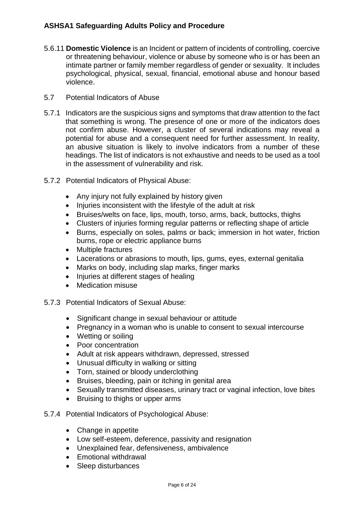- 5.6.11 **Domestic Violence** is an Incident or pattern of incidents of controlling, coercive or threatening behaviour, violence or abuse by someone who is or has been an intimate partner or family member regardless of gender or sexuality. It includes psychological, physical, sexual, financial, emotional abuse and honour based violence.
- 5.7 Potential Indicators of Abuse
- 5.7.1 Indicators are the suspicious signs and symptoms that draw attention to the fact that something is wrong. The presence of one or more of the indicators does not confirm abuse. However, a cluster of several indications may reveal a potential for abuse and a consequent need for further assessment. In reality, an abusive situation is likely to involve indicators from a number of these headings. The list of indicators is not exhaustive and needs to be used as a tool in the assessment of vulnerability and risk.
- 5.7.2 Potential Indicators of Physical Abuse:
	- Any injury not fully explained by history given
	- Injuries inconsistent with the lifestyle of the adult at risk
	- Bruises/welts on face, lips, mouth, torso, arms, back, buttocks, thighs
	- Clusters of injuries forming regular patterns or reflecting shape of article
	- Burns, especially on soles, palms or back; immersion in hot water, friction burns, rope or electric appliance burns
	- Multiple fractures
	- Lacerations or abrasions to mouth, lips, gums, eyes, external genitalia
	- Marks on body, including slap marks, finger marks
	- Injuries at different stages of healing
	- Medication misuse
- 5.7.3 Potential Indicators of Sexual Abuse:
	- Significant change in sexual behaviour or attitude
	- Pregnancy in a woman who is unable to consent to sexual intercourse
	- Wetting or soiling
	- Poor concentration
	- Adult at risk appears withdrawn, depressed, stressed
	- Unusual difficulty in walking or sitting
	- Torn, stained or bloody underclothing
	- Bruises, bleeding, pain or itching in genital area
	- Sexually transmitted diseases, urinary tract or vaginal infection, love bites
	- Bruising to thighs or upper arms
- 5.7.4 Potential Indicators of Psychological Abuse:
	- Change in appetite
	- Low self-esteem, deference, passivity and resignation
	- Unexplained fear, defensiveness, ambivalence
	- Emotional withdrawal
	- Sleep disturbances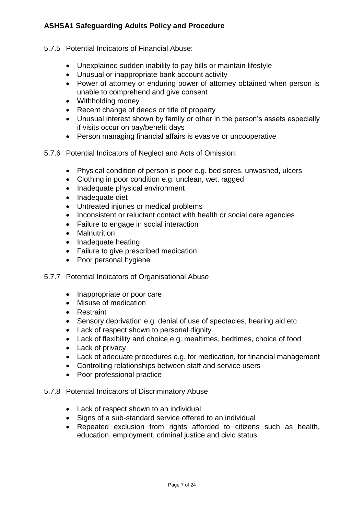- 5.7.5 Potential Indicators of Financial Abuse:
	- Unexplained sudden inability to pay bills or maintain lifestyle
	- Unusual or inappropriate bank account activity
	- Power of attorney or enduring power of attorney obtained when person is unable to comprehend and give consent
	- Withholding money
	- Recent change of deeds or title of property
	- Unusual interest shown by family or other in the person's assets especially if visits occur on pay/benefit days
	- Person managing financial affairs is evasive or uncooperative
- 5.7.6 Potential Indicators of Neglect and Acts of Omission:
	- Physical condition of person is poor e.g. bed sores, unwashed, ulcers
	- Clothing in poor condition e.g. unclean, wet, ragged
	- Inadequate physical environment
	- Inadequate diet
	- Untreated injuries or medical problems
	- Inconsistent or reluctant contact with health or social care agencies
	- Failure to engage in social interaction
	- Malnutrition
	- Inadequate heating
	- Failure to give prescribed medication
	- Poor personal hygiene
- 5.7.7 Potential Indicators of Organisational Abuse
	- Inappropriate or poor care
	- Misuse of medication
	- Restraint
	- Sensory deprivation e.g. denial of use of spectacles, hearing aid etc
	- Lack of respect shown to personal dignity
	- Lack of flexibility and choice e.g. mealtimes, bedtimes, choice of food
	- Lack of privacy
	- Lack of adequate procedures e.g. for medication, for financial management
	- Controlling relationships between staff and service users
	- Poor professional practice
- 5.7.8 Potential Indicators of Discriminatory Abuse
	- Lack of respect shown to an individual
	- Signs of a sub-standard service offered to an individual
	- Repeated exclusion from rights afforded to citizens such as health, education, employment, criminal justice and civic status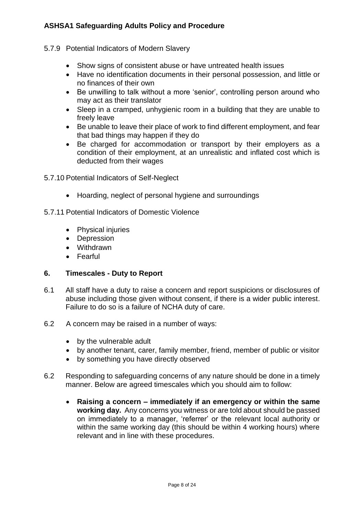- 5.7.9 Potential Indicators of Modern Slavery
	- Show signs of consistent abuse or have untreated health issues
	- Have no identification documents in their personal possession, and little or no finances of their own
	- Be unwilling to talk without a more 'senior', controlling person around who may act as their translator
	- Sleep in a cramped, unhygienic room in a building that they are unable to freely leave
	- Be unable to leave their place of work to find different employment, and fear that bad things may happen if they do
	- Be charged for accommodation or transport by their employers as a condition of their employment, at an unrealistic and inflated cost which is deducted from their wages
- 5.7.10 Potential Indicators of Self-Neglect
	- Hoarding, neglect of personal hygiene and surroundings
- 5.7.11 Potential Indicators of Domestic Violence
	- Physical injuries
	- Depression
	- Withdrawn
	- Fearful

### **6. Timescales - Duty to Report**

- 6.1 All staff have a duty to raise a concern and report suspicions or disclosures of abuse including those given without consent, if there is a wider public interest. Failure to do so is a failure of NCHA duty of care.
- 6.2 A concern may be raised in a number of ways:
	- by the vulnerable adult
	- by another tenant, carer, family member, friend, member of public or visitor
	- by something you have directly observed
- 6.2 Responding to safeguarding concerns of any nature should be done in a timely manner. Below are agreed timescales which you should aim to follow:
	- **Raising a concern – immediately if an emergency or within the same working day.** Any concerns you witness or are told about should be passed on immediately to a manager, 'referrer' or the relevant local authority or within the same working day (this should be within 4 working hours) where relevant and in line with these procedures.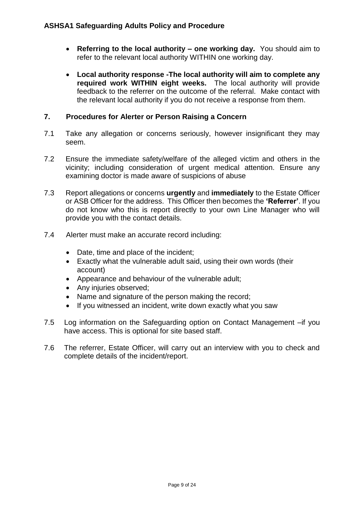- **Referring to the local authority – one working day.** You should aim to refer to the relevant local authority WITHIN one working day.
- **Local authority response -The local authority will aim to complete any required work WITHIN eight weeks.** The local authority will provide feedback to the referrer on the outcome of the referral. Make contact with the relevant local authority if you do not receive a response from them.

# **7. Procedures for Alerter or Person Raising a Concern**

- 7.1 Take any allegation or concerns seriously, however insignificant they may seem.
- 7.2 Ensure the immediate safety/welfare of the alleged victim and others in the vicinity; including consideration of urgent medical attention. Ensure any examining doctor is made aware of suspicions of abuse
- 7.3 Report allegations or concerns **urgently** and **immediately** to the Estate Officer or ASB Officer for the address. This Officer then becomes the **'Referrer'**. If you do not know who this is report directly to your own Line Manager who will provide you with the contact details.
- 7.4 Alerter must make an accurate record including:
	- Date, time and place of the incident;
	- Exactly what the vulnerable adult said, using their own words (their account)
	- Appearance and behaviour of the vulnerable adult;
	- Any injuries observed;
	- Name and signature of the person making the record;
	- If you witnessed an incident, write down exactly what you saw
- 7.5 Log information on the Safeguarding option on Contact Management –if you have access. This is optional for site based staff.
- 7.6 The referrer, Estate Officer, will carry out an interview with you to check and complete details of the incident/report.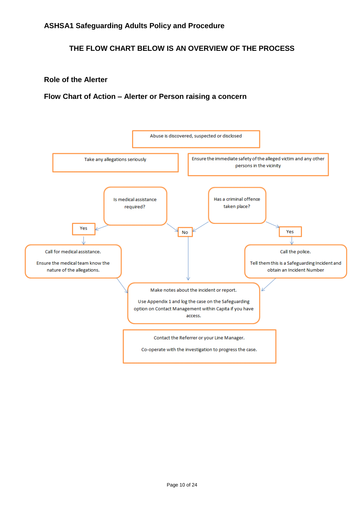# **THE FLOW CHART BELOW IS AN OVERVIEW OF THE PROCESS**

### **Role of the Alerter**

### **Flow Chart of Action – Alerter or Person raising a concern**

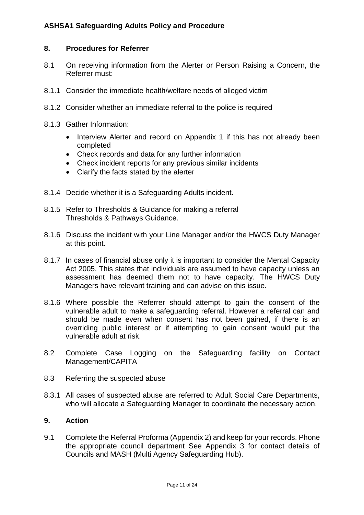### **8. Procedures for Referrer**

- 8.1 On receiving information from the Alerter or Person Raising a Concern, the Referrer must:
- 8.1.1 Consider the immediate health/welfare needs of alleged victim
- 8.1.2 Consider whether an immediate referral to the police is required
- 8.1.3 Gather Information:
	- Interview Alerter and record on Appendix 1 if this has not already been completed
	- Check records and data for any further information
	- Check incident reports for any previous similar incidents
	- Clarify the facts stated by the alerter
- 8.1.4 Decide whether it is a Safeguarding Adults incident.
- 8.1.5 Refer to Thresholds & Guidance for making a referral [Thresholds & Pathways Guidance.](file://///sherwood/sdrives$/Housing/Estates/ASB/Thresholds%20&%20Pathways%20Guidance.pdf)
- 8.1.6 Discuss the incident with your Line Manager and/or the HWCS Duty Manager at this point.
- 8.1.7 In cases of financial abuse only it is important to consider the Mental Capacity Act 2005. This states that individuals are assumed to have capacity unless an assessment has deemed them not to have capacity. The HWCS Duty Managers have relevant training and can advise on this issue.
- 8.1.6 Where possible the Referrer should attempt to gain the consent of the vulnerable adult to make a safeguarding referral. However a referral can and should be made even when consent has not been gained, if there is an overriding public interest or if attempting to gain consent would put the vulnerable adult at risk.
- 8.2 Complete Case Logging on the Safeguarding facility on Contact Management/CAPITA
- 8.3 Referring the suspected abuse
- 8.3.1 All cases of suspected abuse are referred to Adult Social Care Departments, who will allocate a Safeguarding Manager to coordinate the necessary action.

#### **9. Action**

9.1 Complete the Referral Proforma (Appendix 2) and keep for your records. Phone the appropriate council department See Appendix 3 for contact details of Councils and MASH (Multi Agency Safeguarding Hub).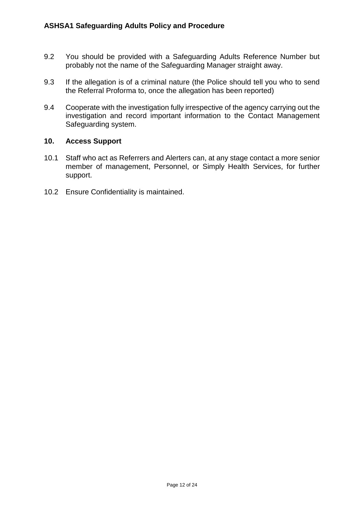- 9.2 You should be provided with a Safeguarding Adults Reference Number but probably not the name of the Safeguarding Manager straight away.
- 9.3 If the allegation is of a criminal nature (the Police should tell you who to send the Referral Proforma to, once the allegation has been reported)
- 9.4 Cooperate with the investigation fully irrespective of the agency carrying out the investigation and record important information to the Contact Management Safeguarding system.

### **10. Access Support**

- 10.1 Staff who act as Referrers and Alerters can, at any stage contact a more senior member of management, Personnel, or Simply Health Services, for further support.
- 10.2 Ensure Confidentiality is maintained.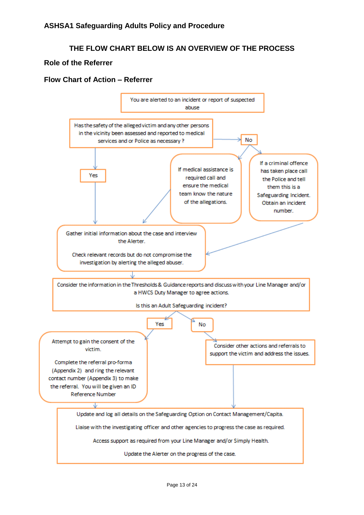# **THE FLOW CHART BELOW IS AN OVERVIEW OF THE PROCESS**

### **Role of the Referrer**

### **Flow Chart of Action – Referrer**

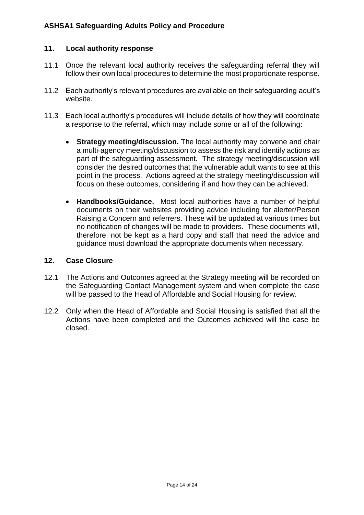### **11. Local authority response**

- 11.1 Once the relevant local authority receives the safeguarding referral they will follow their own local procedures to determine the most proportionate response.
- 11.2 Each authority's relevant procedures are available on their safeguarding adult's website.
- 11.3 Each local authority's procedures will include details of how they will coordinate a response to the referral, which may include some or all of the following:
	- **Strategy meeting/discussion.** The local authority may convene and chair a multi-agency meeting/discussion to assess the risk and identify actions as part of the safeguarding assessment. The strategy meeting/discussion will consider the desired outcomes that the vulnerable adult wants to see at this point in the process. Actions agreed at the strategy meeting/discussion will focus on these outcomes, considering if and how they can be achieved.
	- **Handbooks/Guidance.** Most local authorities have a number of helpful documents on their websites providing advice including for alerter/Person Raising a Concern and referrers. These will be updated at various times but no notification of changes will be made to providers. These documents will, therefore, not be kept as a hard copy and staff that need the advice and guidance must download the appropriate documents when necessary.

### **12. Case Closure**

- 12.1 The Actions and Outcomes agreed at the Strategy meeting will be recorded on the Safeguarding Contact Management system and when complete the case will be passed to the Head of Affordable and Social Housing for review.
- 12.2 Only when the Head of Affordable and Social Housing is satisfied that all the Actions have been completed and the Outcomes achieved will the case be closed.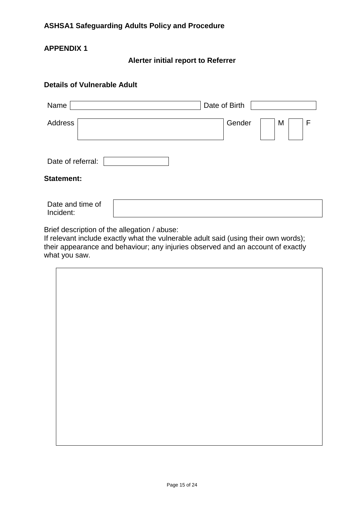# **APPENDIX 1**

**Alerter initial report to Referrer**

# **Details of Vulnerable Adult**

| Name                          | Date of Birth    |
|-------------------------------|------------------|
| Address                       | Gender<br>M<br>F |
| Date of referral:             |                  |
| <b>Statement:</b>             |                  |
| Date and time of<br>Incident: |                  |

Brief description of the allegation / abuse:

If relevant include exactly what the vulnerable adult said (using their own words); their appearance and behaviour; any injuries observed and an account of exactly what you saw.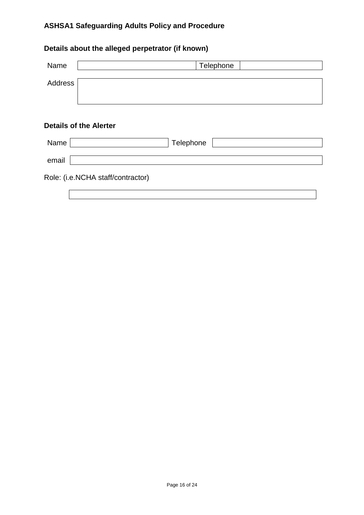# **Details about the alleged perpetrator (if known)**

| Name    | Telephone                         |
|---------|-----------------------------------|
| Address |                                   |
|         |                                   |
|         | <b>Details of the Alerter</b>     |
| Name    | Telephone                         |
| email   |                                   |
|         | Role: (i.e.NCHA staff/contractor) |
|         |                                   |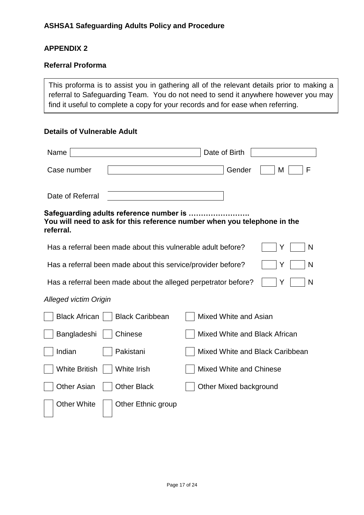# **APPENDIX 2**

# **Referral Proforma**

This proforma is to assist you in gathering all of the relevant details prior to making a referral to Safeguarding Team. You do not need to send it anywhere however you may find it useful to complete a copy for your records and for ease when referring.

# **Details of Vulnerable Adult**

| Name                         |                                                                                                                     | Date of Birth                  |                                 |
|------------------------------|---------------------------------------------------------------------------------------------------------------------|--------------------------------|---------------------------------|
| Case number                  |                                                                                                                     | Gender                         | F<br>M                          |
| Date of Referral             |                                                                                                                     |                                |                                 |
| referral.                    | Safeguarding adults reference number is<br>You will need to ask for this reference number when you telephone in the |                                |                                 |
|                              | Has a referral been made about this vulnerable adult before?                                                        |                                | N<br>Y                          |
|                              | Has a referral been made about this service/provider before?                                                        |                                | N<br>Y                          |
|                              | Has a referral been made about the alleged perpetrator before?                                                      |                                | N<br>Y                          |
| <b>Alleged victim Origin</b> |                                                                                                                     |                                |                                 |
| <b>Black African</b>         | <b>Black Caribbean</b>                                                                                              | Mixed White and Asian          |                                 |
| Bangladeshi                  | Chinese                                                                                                             |                                | Mixed White and Black African   |
| Indian                       | Pakistani                                                                                                           |                                | Mixed White and Black Caribbean |
| <b>White British</b>         | White Irish                                                                                                         | <b>Mixed White and Chinese</b> |                                 |
| <b>Other Asian</b>           | <b>Other Black</b>                                                                                                  | Other Mixed background         |                                 |
| <b>Other White</b>           | Other Ethnic group                                                                                                  |                                |                                 |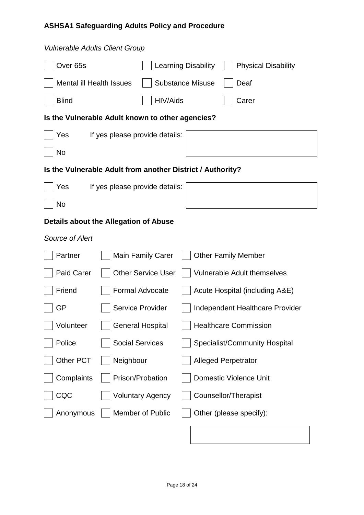| <b>Vulnerable Adults Client Group</b>                      |                                |                           |                            |                                      |
|------------------------------------------------------------|--------------------------------|---------------------------|----------------------------|--------------------------------------|
| Over <sub>65s</sub>                                        |                                |                           | <b>Learning Disability</b> | <b>Physical Disability</b>           |
| <b>Mental ill Health Issues</b>                            |                                |                           | <b>Substance Misuse</b>    | Deaf                                 |
| <b>Blind</b>                                               |                                | HIV/Aids                  |                            | Carer                                |
| Is the Vulnerable Adult known to other agencies?           |                                |                           |                            |                                      |
| Yes                                                        | If yes please provide details: |                           |                            |                                      |
| No                                                         |                                |                           |                            |                                      |
| Is the Vulnerable Adult from another District / Authority? |                                |                           |                            |                                      |
| Yes                                                        | If yes please provide details: |                           |                            |                                      |
| No                                                         |                                |                           |                            |                                      |
| Details about the Allegation of Abuse                      |                                |                           |                            |                                      |
| <b>Source of Alert</b>                                     |                                |                           |                            |                                      |
| Partner                                                    |                                | <b>Main Family Carer</b>  |                            | <b>Other Family Member</b>           |
| <b>Paid Carer</b>                                          |                                | <b>Other Service User</b> |                            | <b>Vulnerable Adult themselves</b>   |
| Friend                                                     | <b>Formal Advocate</b>         |                           |                            | Acute Hospital (including A&E)       |
| GP                                                         | <b>Service Provider</b>        |                           |                            | Independent Healthcare Provider      |
| Volunteer                                                  | <b>General Hospital</b>        |                           |                            | <b>Healthcare Commission</b>         |
| Police                                                     | <b>Social Services</b>         |                           |                            | <b>Specialist/Community Hospital</b> |
| Other PCT                                                  | Neighbour                      |                           |                            | <b>Alleged Perpetrator</b>           |
| Complaints                                                 | Prison/Probation               |                           |                            | <b>Domestic Violence Unit</b>        |
| CQC                                                        |                                | <b>Voluntary Agency</b>   |                            | <b>Counsellor/Therapist</b>          |
| Anonymous                                                  |                                | Member of Public          |                            | Other (please specify):              |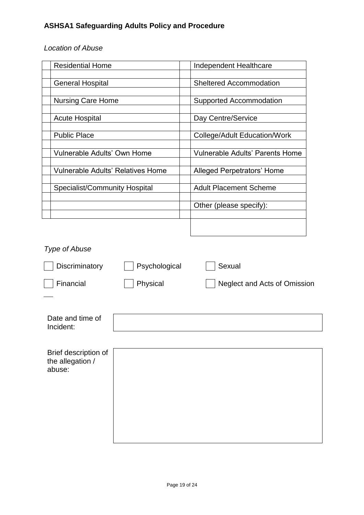# *Location of Abuse*

| <b>Residential Home</b>              | Independent Healthcare                 |
|--------------------------------------|----------------------------------------|
|                                      |                                        |
| <b>General Hospital</b>              | <b>Sheltered Accommodation</b>         |
|                                      |                                        |
| <b>Nursing Care Home</b>             | Supported Accommodation                |
|                                      |                                        |
| <b>Acute Hospital</b>                | Day Centre/Service                     |
|                                      |                                        |
| <b>Public Place</b>                  | <b>College/Adult Education/Work</b>    |
| Vulnerable Adults' Own Home          | <b>Vulnerable Adults' Parents Home</b> |
|                                      |                                        |
| Vulnerable Adults' Relatives Home    | Alleged Perpetrators' Home             |
|                                      |                                        |
| <b>Specialist/Community Hospital</b> | <b>Adult Placement Scheme</b>          |
|                                      |                                        |
|                                      | Other (please specify):                |
|                                      |                                        |
|                                      |                                        |
|                                      |                                        |

| <b>Type of Abuse</b>                               |               |                              |
|----------------------------------------------------|---------------|------------------------------|
| Discriminatory                                     | Psychological | Sexual                       |
| Financial                                          | Physical      | Neglect and Acts of Omission |
|                                                    |               |                              |
| Date and time of<br>Incident:                      |               |                              |
|                                                    |               |                              |
| Brief description of<br>the allegation /<br>abuse: |               |                              |
|                                                    |               |                              |
|                                                    |               |                              |
|                                                    |               |                              |
|                                                    |               |                              |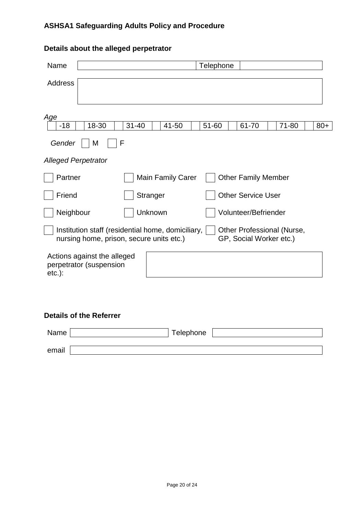| Name                                                                                          |           |                          | Telephone |                                                       |       |       |
|-----------------------------------------------------------------------------------------------|-----------|--------------------------|-----------|-------------------------------------------------------|-------|-------|
| <b>Address</b>                                                                                |           |                          |           |                                                       |       |       |
| Age                                                                                           |           |                          |           |                                                       |       |       |
| 18-30<br>$-18$<br>Gender<br>F<br>M                                                            | $31 - 40$ | 41-50                    | 51-60     | 61-70                                                 | 71-80 | $80+$ |
| <b>Alleged Perpetrator</b>                                                                    |           |                          |           |                                                       |       |       |
| Partner                                                                                       |           | <b>Main Family Carer</b> |           | <b>Other Family Member</b>                            |       |       |
| Friend                                                                                        | Stranger  |                          |           | <b>Other Service User</b>                             |       |       |
| Neighbour                                                                                     | Unknown   |                          |           | Volunteer/Befriender                                  |       |       |
| Institution staff (residential home, domiciliary,<br>nursing home, prison, secure units etc.) |           |                          |           | Other Professional (Nurse,<br>GP, Social Worker etc.) |       |       |
| Actions against the alleged<br>perpetrator (suspension<br>$etc.$ ):                           |           |                          |           |                                                       |       |       |
| <b>Details of the Referrer</b>                                                                |           |                          |           |                                                       |       |       |

# **Details about the alleged perpetrator**

| Name  | Telephone |
|-------|-----------|
| email |           |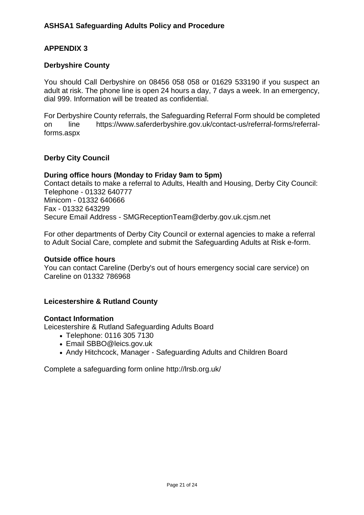# **APPENDIX 3**

### **Derbyshire County**

You should Call Derbyshire on 08456 058 058 or 01629 533190 if you suspect an adult at risk. The phone line is open 24 hours a day, 7 days a week. In an emergency, dial 999. Information will be treated as confidential.

For Derbyshire County referrals, the [Safeguarding Referral Form](http://www.derbysab.org.uk/downloads/Safeguarding-referral-form.doc) should be completed on line [https://www.saferderbyshire.gov.uk/contact-us/referral-forms/referral](https://www.saferderbyshire.gov.uk/contact-us/referral-forms/referral-forms.aspx)[forms.aspx](https://www.saferderbyshire.gov.uk/contact-us/referral-forms/referral-forms.aspx)

### **Derby City Council**

### **During office hours (Monday to Friday 9am to 5pm)**

Contact details to make a referral to Adults, Health and Housing, Derby City Council: Telephone - 01332 640777 Minicom - 01332 640666 Fax - 01332 643299 Secure Email Address - [SMGReceptionTeam@derby.gov.uk.cjsm.net](mailto:SMGReceptionTeam@derby.gov.uk.cjsm.net)

For other departments of Derby City Council or external agencies to make a referral to Adult Social Care, complete and submit the [Safeguarding Adults at Risk e-form.](https://secure.derby.gov.uk/forms/?formid=345)

#### **Outside office hours**

You can contact Careline (Derby's out of hours emergency social care service) on Careline on 01332 786968

### **Leicestershire & Rutland County**

#### **Contact Information**

Leicestershire & Rutland Safeguarding Adults Board

- Telephone: 0116 305 7130
- Email [SBBO@leics.gov.uk](mailto:SBBO@leics.gov.uk)
- Andy Hitchcock, Manager Safeguarding Adults and Children Board

Complete a safeguarding form online<http://lrsb.org.uk/>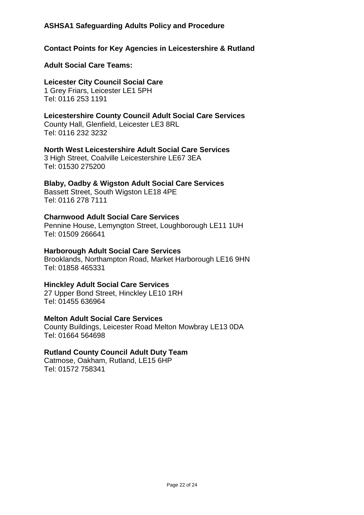# **Contact Points for Key Agencies in Leicestershire & Rutland**

### **Adult Social Care Teams:**

**Leicester City Council Social Care** 1 Grey Friars, Leicester LE1 5PH Tel: 0116 253 1191

**Leicestershire County Council Adult Social Care Services** County Hall, Glenfield, Leicester LE3 8RL Tel: 0116 232 3232

**North West Leicestershire Adult Social Care Services**

3 High Street, Coalville Leicestershire LE67 3EA Tel: 01530 275200

# **Blaby, Oadby & Wigston Adult Social Care Services**

Bassett Street, South Wigston LE18 4PE Tel: 0116 278 7111

### **Charnwood Adult Social Care Services**

Pennine House, Lemyngton Street, Loughborough LE11 1UH Tel: 01509 266641

### **Harborough Adult Social Care Services**

Brooklands, Northampton Road, Market Harborough LE16 9HN Tel: 01858 465331

## **Hinckley Adult Social Care Services**

27 Upper Bond Street, Hinckley LE10 1RH Tel: 01455 636964

## **Melton Adult Social Care Services**

County Buildings, Leicester Road Melton Mowbray LE13 0DA Tel: 01664 564698

### **Rutland County Council Adult Duty Team**

Catmose, Oakham, Rutland, LE15 6HP Tel: 01572 758341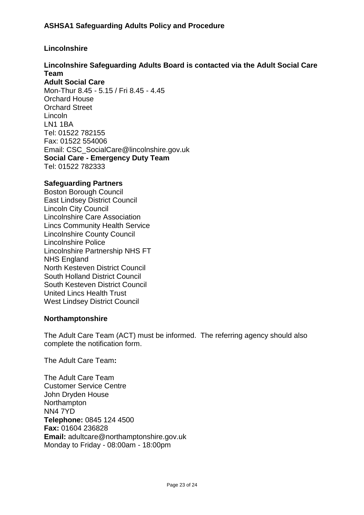# **Lincolnshire**

#### **Lincolnshire Safeguarding Adults Board is contacted via the Adult Social Care Team**

**Adult Social Care** Mon-Thur 8.45 - 5.15 / Fri 8.45 - 4.45 Orchard House Orchard Street Lincoln LN1 1BA Tel: 01522 782155 Fax: 01522 554006 Email: [CSC\\_SocialCare@lincolnshire.gov.uk](mailto:CSC_SocialCare@lincolnshire.gov.uk) **Social Care - Emergency Duty Team** Tel: 01522 782333

### **Safeguarding Partners**

[Boston Borough Council](http://www.boston.gov.uk/index.aspx?articleid=4002%20) [East Lindsey District Council](http://www.e-lindsey.gov.uk/contact-us) [Lincoln City Council](http://www.lincoln.gov.uk/living-in-lincoln/emergencies-and-public-safety/safeguarding-children-vulnerable-adults-and-domestic-abuse/) [Lincolnshire Care Association](http://www.carechoices.co.uk/lincolnshire-care-association-linca/) [Lincs Community Health Service](https://www.lincolnshirecommunityhealthservices.nhs.uk/Public/content/safeguarding-adults) [Lincolnshire County Council](http://www.lincolnshire.gov.uk/residents/adult-social-care/adult-safeguarding/) [Lincolnshire Police](http://www.lincs.police.uk/Advice/Community-Safety-Advice/Adult-Abuse-Safeguarding.html) [Lincolnshire Partnership NHS FT](http://www.lpft.nhs.uk/help-and-support/your-rights/safeguarding) [NHS England](http://www.england.nhs.uk/contact-us/) [North Kesteven District Council](http://www.n-kesteven.gov.uk/residents/housing/support-and-independence/elder-abuse-and-safeguarding/) [South Holland District Council](http://www.sholland.gov.uk/contact/) [South Kesteven District Council](http://www.southkesteven.gov.uk/index.aspx?articleid=5594) [United Lincs Health Trust](http://ulh.nhs.uk/about_us/contacting_us.asp) [West Lindsey District Council](http://www.west-lindsey.gov.uk/residents/children-education-and-family-support/safeguarding-children/safeguarding-children-young-people-and-vulnerable-adults/104742.article)

#### **Northamptonshire**

The Adult Care Team (ACT) must be informed. The referring agency should also complete the notification form.

The Adult Care Team**:**

The Adult Care Team Customer Service Centre John Dryden House **Northampton** NN4 7YD **Telephone:** 0845 124 4500 **Fax:** 01604 236828 **Email:** adultcare@northamptonshire.gov.uk Monday to Friday - 08:00am - 18:00pm